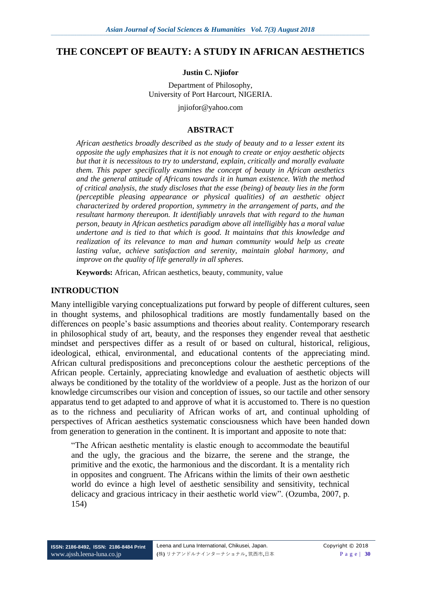### **THE CONCEPT OF BEAUTY: A STUDY IN AFRICAN AESTHETICS**

#### **Justin C. Njiofor**

Department of Philosophy, University of Port Harcourt, NIGERIA.

jnjiofor@yahoo.com

### **ABSTRACT**

*African aesthetics broadly described as the study of beauty and to a lesser extent its opposite the ugly emphasizes that it is not enough to create or enjoy aesthetic objects but that it is necessitous to try to understand, explain, critically and morally evaluate them. This paper specifically examines the concept of beauty in African aesthetics and the general attitude of Africans towards it in human existence. With the method of critical analysis, the study discloses that the esse (being) of beauty lies in the form (perceptible pleasing appearance or physical qualities) of an aesthetic object characterized by ordered proportion, symmetry in the arrangement of parts, and the resultant harmony thereupon. It identifiably unravels that with regard to the human person, beauty in African aesthetics paradigm above all intelligibly has a moral value undertone and is tied to that which is good. It maintains that this knowledge and realization of its relevance to man and human community would help us create lasting value, achieve satisfaction and serenity, maintain global harmony, and improve on the quality of life generally in all spheres.* 

**Keywords:** African, African aesthetics, beauty, community, value

### **INTRODUCTION**

Many intelligible varying conceptualizations put forward by people of different cultures, seen in thought systems, and philosophical traditions are mostly fundamentally based on the differences on people's basic assumptions and theories about reality. Contemporary research in philosophical study of art, beauty, and the responses they engender reveal that aesthetic mindset and perspectives differ as a result of or based on cultural, historical, religious, ideological, ethical, environmental, and educational contents of the appreciating mind. African cultural predispositions and preconceptions colour the aesthetic perceptions of the African people. Certainly, appreciating knowledge and evaluation of aesthetic objects will always be conditioned by the totality of the worldview of a people. Just as the horizon of our knowledge circumscribes our vision and conception of issues, so our tactile and other sensory apparatus tend to get adapted to and approve of what it is accustomed to. There is no question as to the richness and peculiarity of African works of art, and continual upholding of perspectives of African aesthetics systematic consciousness which have been handed down from generation to generation in the continent. It is important and apposite to note that:

"The African aesthetic mentality is elastic enough to accommodate the beautiful and the ugly, the gracious and the bizarre, the serene and the strange, the primitive and the exotic, the harmonious and the discordant. It is a mentality rich in opposites and congruent. The Africans within the limits of their own aesthetic world do evince a high level of aesthetic sensibility and sensitivity, technical delicacy and gracious intricacy in their aesthetic world view". (Ozumba, 2007, p. 154)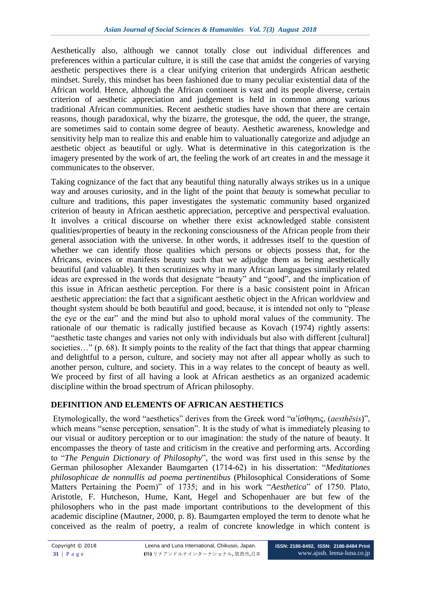Aesthetically also, although we cannot totally close out individual differences and preferences within a particular culture, it is still the case that amidst the congeries of varying aesthetic perspectives there is a clear unifying criterion that undergirds African aesthetic mindset. Surely, this mindset has been fashioned due to many peculiar existential data of the African world. Hence, although the African continent is vast and its people diverse, certain criterion of aesthetic appreciation and judgement is held in common among various traditional African communities. Recent aesthetic studies have shown that there are certain reasons, though paradoxical, why the bizarre, the grotesque, the odd, the queer, the strange, are sometimes said to contain some degree of beauty. Aesthetic awareness, knowledge and sensitivity help man to realize this and enable him to valuationally categorize and adjudge an aesthetic object as beautiful or ugly. What is determinative in this categorization is the imagery presented by the work of art, the feeling the work of art creates in and the message it communicates to the observer.

Taking cognizance of the fact that any beautiful thing naturally always strikes us in a unique way and arouses curiosity, and in the light of the point that *beauty* is somewhat peculiar to culture and traditions, this paper investigates the systematic community based organized criterion of beauty in African aesthetic appreciation, perceptive and perspectival evaluation. It involves a critical discourse on whether there exist acknowledged stable consistent qualities/properties of beauty in the reckoning consciousness of the African people from their general association with the universe. In other words, it addresses itself to the question of whether we can identify those qualities which persons or objects possess that, for the Africans, evinces or manifests beauty such that we adjudge them as being aesthetically beautiful (and valuable). It then scrutinizes why in many African languages similarly related ideas are expressed in the words that designate "beauty" and "good", and the implication of this issue in African aesthetic perception. For there is a basic consistent point in African aesthetic appreciation: the fact that a significant aesthetic object in the African worldview and thought system should be both beautiful and good, because, it is intended not only to "please the eye or the ear" and the mind but also to uphold moral values of the community. The rationale of our thematic is radically justified because as Kovach (1974) rightly asserts: "aesthetic taste changes and varies not only with individuals but also with different [cultural] societies..." (p. 68). It simply points to the reality of the fact that things that appear charming and delightful to a person, culture, and society may not after all appear wholly as such to another person, culture, and society. This in a way relates to the concept of beauty as well. We proceed by first of all having a look at African aesthetics as an organized academic discipline within the broad spectrum of African philosophy.

# **DEFINITION AND ELEMENTS OF AFRICAN AESTHETICS**

Etymologically, the word "aesthetics" derives from the Greek word "α՚ίσθησις, (*aesthēsis*)", which means "sense perception, sensation". It is the study of what is immediately pleasing to our visual or auditory perception or to our imagination: the study of the nature of beauty. It encompasses the theory of taste and criticism in the creative and performing arts. According to "*The Penguin Dictionary of Philosophy*", the word was first used in this sense by the German philosopher Alexander Baumgarten (1714-62) in his dissertation: "*Meditationes philosophicae de nonnullis ad poema pertinentibus* (Philosophical Considerations of Some Matters Pertaining the Poem)" of 1735; and in his work "*Aesthetica*" of 1750. Plato, Aristotle, F. Hutcheson, Hume, Kant, Hegel and Schopenhauer are but few of the philosophers who in the past made important contributions to the development of this academic discipline (Mautner, 2000, p. 8). Baumgarten employed the term to denote what he conceived as the realm of poetry, a realm of concrete knowledge in which content is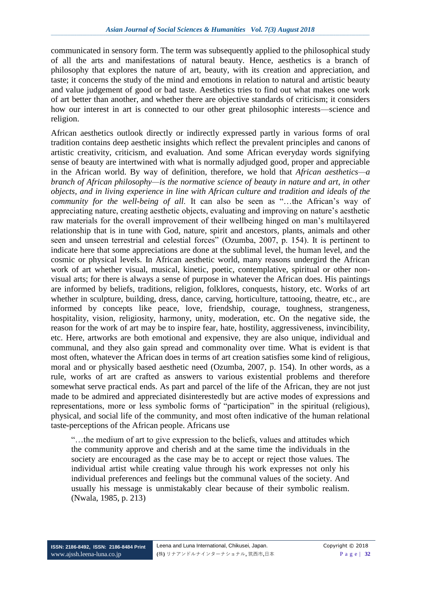communicated in sensory form. The term was subsequently applied to the philosophical study of all the arts and manifestations of natural beauty. Hence, aesthetics is a branch of philosophy that explores the nature of art, beauty, with its creation and appreciation, and taste; it concerns the study of the mind and emotions in relation to natural and artistic beauty and value judgement of good or bad taste. Aesthetics tries to find out what makes one work of art better than another, and whether there are objective standards of criticism; it considers how our interest in art is connected to our other great philosophic interests—science and religion.

African aesthetics outlook directly or indirectly expressed partly in various forms of oral tradition contains deep aesthetic insights which reflect the prevalent principles and canons of artistic creativity, criticism, and evaluation. And some African everyday words signifying sense of beauty are intertwined with what is normally adjudged good, proper and appreciable in the African world. By way of definition, therefore, we hold that *African aesthetics—a branch of African philosophy—is the normative science of beauty in nature and art, in other objects, and in living experience in line with African culture and tradition and ideals of the community for the well-being of all*. It can also be seen as "…the African's way of appreciating nature, creating aesthetic objects, evaluating and improving on nature's aesthetic raw materials for the overall improvement of their wellbeing hinged on man's multilayered relationship that is in tune with God, nature, spirit and ancestors, plants, animals and other seen and unseen terrestrial and celestial forces" (Ozumba, 2007, p. 154). It is pertinent to indicate here that some appreciations are done at the sublimal level, the human level, and the cosmic or physical levels. In African aesthetic world, many reasons undergird the African work of art whether visual, musical, kinetic, poetic, contemplative, spiritual or other nonvisual arts; for there is always a sense of purpose in whatever the African does. His paintings are informed by beliefs, traditions, religion, folklores, conquests, history, etc. Works of art whether in sculpture, building, dress, dance, carving, horticulture, tattooing, theatre, etc., are informed by concepts like peace, love, friendship, courage, toughness, strangeness, hospitality, vision, religiosity, harmony, unity, moderation, etc. On the negative side, the reason for the work of art may be to inspire fear, hate, hostility, aggressiveness, invincibility, etc. Here, artworks are both emotional and expensive, they are also unique, individual and communal, and they also gain spread and commonality over time. What is evident is that most often, whatever the African does in terms of art creation satisfies some kind of religious, moral and or physically based aesthetic need (Ozumba, 2007, p. 154). In other words, as a rule, works of art are crafted as answers to various existential problems and therefore somewhat serve practical ends. As part and parcel of the life of the African, they are not just made to be admired and appreciated disinterestedly but are active modes of expressions and representations, more or less symbolic forms of "participation" in the spiritual (religious), physical, and social life of the community, and most often indicative of the human relational taste-perceptions of the African people. Africans use

"…the medium of art to give expression to the beliefs, values and attitudes which the community approve and cherish and at the same time the individuals in the society are encouraged as the case may be to accept or reject those values. The individual artist while creating value through his work expresses not only his individual preferences and feelings but the communal values of the society. And usually his message is unmistakably clear because of their symbolic realism. (Nwala, 1985, p. 213)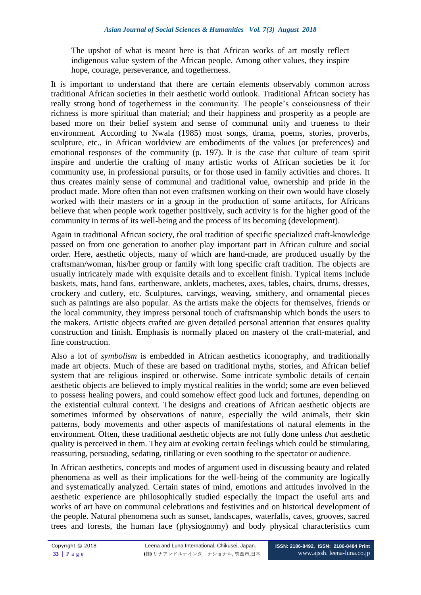The upshot of what is meant here is that African works of art mostly reflect indigenous value system of the African people. Among other values, they inspire hope, courage, perseverance, and togetherness.

It is important to understand that there are certain elements observably common across traditional African societies in their aesthetic world outlook. Traditional African society has really strong bond of togetherness in the community. The people's consciousness of their richness is more spiritual than material; and their happiness and prosperity as a people are based more on their belief system and sense of communal unity and trueness to their environment. According to Nwala (1985) most songs, drama, poems, stories, proverbs, sculpture, etc., in African worldview are embodiments of the values (or preferences) and emotional responses of the community (p. 197). It is the case that culture of team spirit inspire and underlie the crafting of many artistic works of African societies be it for community use, in professional pursuits, or for those used in family activities and chores. It thus creates mainly sense of communal and traditional value, ownership and pride in the product made. More often than not even craftsmen working on their own would have closely worked with their masters or in a group in the production of some artifacts, for Africans believe that when people work together positively, such activity is for the higher good of the community in terms of its well-being and the process of its becoming (development).

Again in traditional African society, the oral tradition of specific specialized craft-knowledge passed on from one generation to another play important part in African culture and social order. Here, aesthetic objects, many of which are hand-made, are produced usually by the craftsman/woman, his/her group or family with long specific craft tradition. The objects are usually intricately made with exquisite details and to excellent finish. Typical items include baskets, mats, hand fans, earthenware, anklets, machetes, axes, tables, chairs, drums, dresses, crockery and cutlery, etc. Sculptures, carvings, weaving, smithery, and ornamental pieces such as paintings are also popular. As the artists make the objects for themselves, friends or the local community, they impress personal touch of craftsmanship which bonds the users to the makers. Artistic objects crafted are given detailed personal attention that ensures quality construction and finish. Emphasis is normally placed on mastery of the craft-material, and fine construction.

Also a lot of *symbolism* is embedded in African aesthetics iconography, and traditionally made art objects. Much of these are based on traditional myths, stories, and African belief system that are religious inspired or otherwise. Some intricate symbolic details of certain aesthetic objects are believed to imply mystical realities in the world; some are even believed to possess healing powers, and could somehow effect good luck and fortunes, depending on the existential cultural context. The designs and creations of African aesthetic objects are sometimes informed by observations of nature, especially the wild animals, their skin patterns, body movements and other aspects of manifestations of natural elements in the environment. Often, these traditional aesthetic objects are not fully done unless *that* aesthetic quality is perceived in them. They aim at evoking certain feelings which could be stimulating, reassuring, persuading, sedating, titillating or even soothing to the spectator or audience.

In African aesthetics, concepts and modes of argument used in discussing beauty and related phenomena as well as their implications for the well-being of the community are logically and systematically analyzed. Certain states of mind, emotions and attitudes involved in the aesthetic experience are philosophically studied especially the impact the useful arts and works of art have on communal celebrations and festivities and on historical development of the people. Natural phenomena such as sunset, landscapes, waterfalls, caves, grooves, sacred trees and forests, the human face (physiognomy) and body physical characteristics cum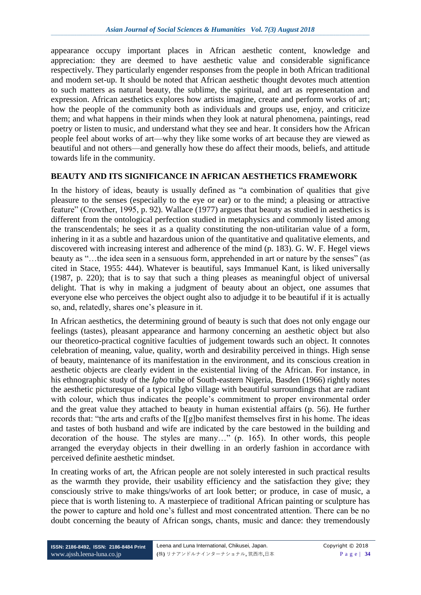appearance occupy important places in African aesthetic content, knowledge and appreciation: they are deemed to have aesthetic value and considerable significance respectively. They particularly engender responses from the people in both African traditional and modern set-up. It should be noted that African aesthetic thought devotes much attention to such matters as natural beauty, the sublime, the spiritual, and art as representation and expression. African aesthetics explores how artists imagine, create and perform works of art; how the people of the community both as individuals and groups use, enjoy, and criticize them; and what happens in their minds when they look at natural phenomena, paintings, read poetry or listen to music, and understand what they see and hear. It considers how the African people feel about works of art—why they like some works of art because they are viewed as beautiful and not others—and generally how these do affect their moods, beliefs, and attitude towards life in the community.

## **BEAUTY AND ITS SIGNIFICANCE IN AFRICAN AESTHETICS FRAMEWORK**

In the history of ideas, beauty is usually defined as "a combination of qualities that give pleasure to the senses (especially to the eye or ear) or to the mind; a pleasing or attractive feature" (Crowther, 1995, p. 92). Wallace (1977) argues that beauty as studied in aesthetics is different from the ontological perfection studied in metaphysics and commonly listed among the transcendentals; he sees it as a quality constituting the non-utilitarian value of a form, inhering in it as a subtle and hazardous union of the quantitative and qualitative elements, and discovered with increasing interest and adherence of the mind (p. 183). G. W. F. Hegel views beauty as "…the idea seen in a sensuous form, apprehended in art or nature by the senses" (as cited in Stace, 1955: 444). Whatever is beautiful, says Immanuel Kant, is liked universally (1987, p. 220); that is to say that such a thing pleases as meaningful object of universal delight. That is why in making a judgment of beauty about an object, one assumes that everyone else who perceives the object ought also to adjudge it to be beautiful if it is actually so, and, relatedly, shares one's pleasure in it.

In African aesthetics, the determining ground of beauty is such that does not only engage our feelings (tastes), pleasant appearance and harmony concerning an aesthetic object but also our theoretico-practical cognitive faculties of judgement towards such an object. It connotes celebration of meaning, value, quality, worth and desirability perceived in things. High sense of beauty, maintenance of its manifestation in the environment, and its conscious creation in aesthetic objects are clearly evident in the existential living of the African. For instance, in his ethnographic study of the *Igbo* tribe of South-eastern Nigeria, Basden (1966) rightly notes the aesthetic picturesque of a typical Igbo village with beautiful surroundings that are radiant with colour, which thus indicates the people's commitment to proper environmental order and the great value they attached to beauty in human existential affairs (p. 56). He further records that: "the arts and crafts of the I[g]bo manifest themselves first in his home. The ideas and tastes of both husband and wife are indicated by the care bestowed in the building and decoration of the house. The styles are many…" (p. 165). In other words, this people arranged the everyday objects in their dwelling in an orderly fashion in accordance with perceived definite aesthetic mindset.

In creating works of art, the African people are not solely interested in such practical results as the warmth they provide, their usability efficiency and the satisfaction they give; they consciously strive to make things/works of art look better; or produce, in case of music, a piece that is worth listening to. A masterpiece of traditional African painting or sculpture has the power to capture and hold one's fullest and most concentrated attention. There can be no doubt concerning the beauty of African songs, chants, music and dance: they tremendously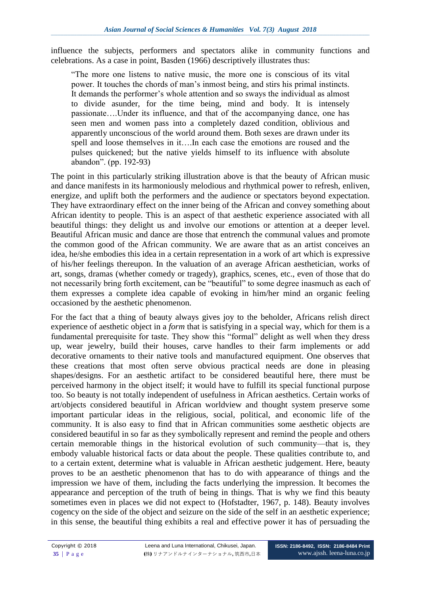influence the subjects, performers and spectators alike in community functions and celebrations. As a case in point, Basden (1966) descriptively illustrates thus:

"The more one listens to native music, the more one is conscious of its vital power. It touches the chords of man's inmost being, and stirs his primal instincts. It demands the performer's whole attention and so sways the individual as almost to divide asunder, for the time being, mind and body. It is intensely passionate….Under its influence, and that of the accompanying dance, one has seen men and women pass into a completely dazed condition, oblivious and apparently unconscious of the world around them. Both sexes are drawn under its spell and loose themselves in it….In each case the emotions are roused and the pulses quickened; but the native yields himself to its influence with absolute abandon". (pp. 192-93)

The point in this particularly striking illustration above is that the beauty of African music and dance manifests in its harmoniously melodious and rhythmical power to refresh, enliven, energize, and uplift both the performers and the audience or spectators beyond expectation. They have extraordinary effect on the inner being of the African and convey something about African identity to people. This is an aspect of that aesthetic experience associated with all beautiful things: they delight us and involve our emotions or attention at a deeper level. Beautiful African music and dance are those that entrench the communal values and promote the common good of the African community. We are aware that as an artist conceives an idea, he/she embodies this idea in a certain representation in a work of art which is expressive of his/her feelings thereupon. In the valuation of an average African aesthetician, works of art, songs, dramas (whether comedy or tragedy), graphics, scenes, etc., even of those that do not necessarily bring forth excitement, can be "beautiful" to some degree inasmuch as each of them expresses a complete idea capable of evoking in him/her mind an organic feeling occasioned by the aesthetic phenomenon.

For the fact that a thing of beauty always gives joy to the beholder, Africans relish direct experience of aesthetic object in a *form* that is satisfying in a special way, which for them is a fundamental prerequisite for taste. They show this "formal" delight as well when they dress up, wear jewelry, build their houses, carve handles to their farm implements or add decorative ornaments to their native tools and manufactured equipment. One observes that these creations that most often serve obvious practical needs are done in pleasing shapes/designs. For an aesthetic artifact to be considered beautiful here, there must be perceived harmony in the object itself; it would have to fulfill its special functional purpose too. So beauty is not totally independent of usefulness in African aesthetics. Certain works of art/objects considered beautiful in African worldview and thought system preserve some important particular ideas in the religious, social, political, and economic life of the community. It is also easy to find that in African communities some aesthetic objects are considered beautiful in so far as they symbolically represent and remind the people and others certain memorable things in the historical evolution of such community—that is, they embody valuable historical facts or data about the people. These qualities contribute to, and to a certain extent, determine what is valuable in African aesthetic judgement. Here, beauty proves to be an aesthetic phenomenon that has to do with appearance of things and the impression we have of them, including the facts underlying the impression. It becomes the appearance and perception of the truth of being in things. That is why we find this beauty sometimes even in places we did not expect to (Hofstadter, 1967, p. 148). Beauty involves cogency on the side of the object and seizure on the side of the self in an aesthetic experience; in this sense, the beautiful thing exhibits a real and effective power it has of persuading the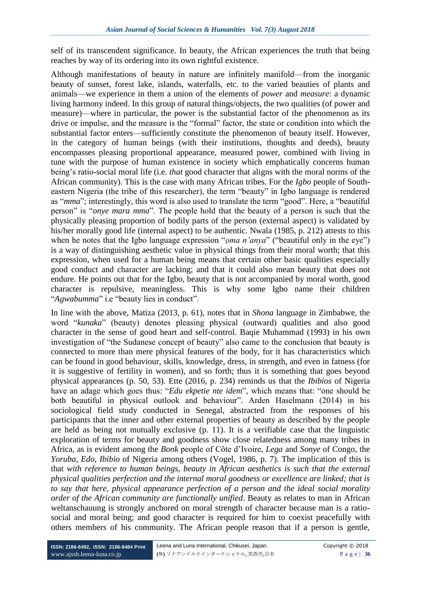self of its transcendent significance. In beauty, the African experiences the truth that being reaches by way of its ordering into its own rightful existence.

Although manifestations of beauty in nature are infinitely manifold—from the inorganic beauty of sunset, forest lake, islands, waterfalls, etc. to the varied beauties of plants and animals—we experience in them a union of the elements of *power* and *measure*: a dynamic living harmony indeed. In this group of natural things/objects, the two qualities (of power and measure)—where in particular, the power is the substantial factor of the phenomenon as its drive or impulse, and the measure is the "formal" factor, the state or condition into which the substantial factor enters—sufficiently constitute the phenomenon of beauty itself. However, in the category of human beings (with their institutions, thoughts and deeds), beauty encompasses pleasing proportional appearance, measured power, combined with living in tune with the purpose of human existence in society which emphatically concerns human being's ratio-social moral life (i.e. *that* good character that aligns with the moral norms of the African community). This is the case with many African tribes. For the *Igbo* people of Southeastern Nigeria (the tribe of this researcher), the term "beauty" in Igbo language is rendered as "*mma*"; interestingly, this word is also used to translate the term "good". Here, a "beautiful person" is "*onye mara mma*". The people hold that the beauty of a person is such that the physically pleasing proportion of bodily parts of the person (external aspect) is validated by his/her morally good life (internal aspect) to be authentic. Nwala (1985, p. 212) attests to this when he notes that the Igbo language expression "*oma n'anya*" ("beautiful only in the eye") is a way of distinguishing aesthetic value in physical things from their moral worth; that this expression, when used for a human being means that certain other basic qualities especially good conduct and character are lacking; and that it could also mean beauty that does not endure. He points out that for the Igbo, beauty that is not accompanied by moral worth, good character is repulsive, meaningless. This is why some Igbo name their children "*Agwabumma*" i.e "beauty lies in conduct".

In line with the above, Matiza (2013, p. 61), notes that in *Shona* language in Zimbabwe, the word "*kunaka*" (beauty) denotes pleasing physical (outward) qualities and also good character in the sense of good heart and self-control. Baqie Muhammad (1993) in his own investigation of "the Sudanese concept of beauty" also came to the conclusion that beauty is connected to more than mere physical features of the body, for it has characteristics which can be found in good behaviour, skills, knowledge, dress, in strength, and even in fatness (for it is suggestive of fertility in women), and so forth; thus it is something that goes beyond physical appearances (p. 50, 53). Ette (2016, p. 234) reminds us that the *Ibibios* of Nigeria have an adage which goes thus: "*Edu ekpetie nte idem*", which means that: "one should be both beautiful in physical outlook and behaviour". Arden Haselmann (2014) in his sociological field study conducted in Senegal, abstracted from the responses of his participants that the inner and other external properties of beauty as described by the people are held as being not mutually exclusive (p. 11). It is a verifiable case that the linguistic exploration of terms for beauty and goodness show close relatedness among many tribes in Africa, as is evident among the *Bonk* people of Côte d'Ivoire, *Lega* and *Sonye* of Congo, the *Yoruba*, *Edo*, *Ibibio* of Nigeria among others (Vogel, 1986, p. 7). The implication of this is that *with reference to human beings, beauty in African aesthetics is such that the external physical qualities perfection and the internal moral goodness or excellence are linked; that is to say that here, physical appearance perfection of a person and the ideal social morality order of the African community are functionally unified*. Beauty as relates to man in African weltanschauung is strongly anchored on moral strength of character because man is a ratiosocial and moral being; and good character is required for him to coexist peacefully with others members of his community. The African people reason that if a person is gentle,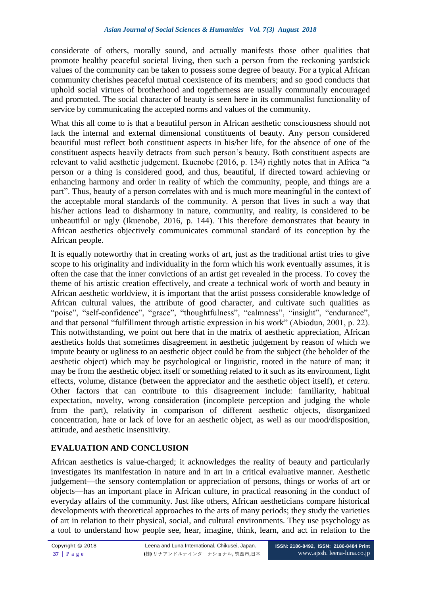considerate of others, morally sound, and actually manifests those other qualities that promote healthy peaceful societal living, then such a person from the reckoning yardstick values of the community can be taken to possess some degree of beauty. For a typical African community cherishes peaceful mutual coexistence of its members; and so good conducts that uphold social virtues of brotherhood and togetherness are usually communally encouraged and promoted. The social character of beauty is seen here in its communalist functionality of service by communicating the accepted norms and values of the community.

What this all come to is that a beautiful person in African aesthetic consciousness should not lack the internal and external dimensional constituents of beauty. Any person considered beautiful must reflect both constituent aspects in his/her life, for the absence of one of the constituent aspects heavily detracts from such person's beauty. Both constituent aspects are relevant to valid aesthetic judgement. Ikuenobe (2016, p. 134) rightly notes that in Africa "a person or a thing is considered good, and thus, beautiful, if directed toward achieving or enhancing harmony and order in reality of which the community, people, and things are a part". Thus, beauty of a person correlates with and is much more meaningful in the context of the acceptable moral standards of the community. A person that lives in such a way that his/her actions lead to disharmony in nature, community, and reality, is considered to be unbeautiful or ugly (Ikuenobe, 2016, p. 144). This therefore demonstrates that beauty in African aesthetics objectively communicates communal standard of its conception by the African people.

It is equally noteworthy that in creating works of art, just as the traditional artist tries to give scope to his originality and individuality in the form which his work eventually assumes, it is often the case that the inner convictions of an artist get revealed in the process. To covey the theme of his artistic creation effectively, and create a technical work of worth and beauty in African aesthetic worldview, it is important that the artist possess considerable knowledge of African cultural values, the attribute of good character, and cultivate such qualities as "poise", "self-confidence", "grace", "thoughtfulness", "calmness", "insight", "endurance", and that personal "fulfillment through artistic expression in his work" (Abiodun, 2001, p. 22). This notwithstanding, we point out here that in the matrix of aesthetic appreciation, African aesthetics holds that sometimes disagreement in aesthetic judgement by reason of which we impute beauty or ugliness to an aesthetic object could be from the subject (the beholder of the aesthetic object) which may be psychological or linguistic, rooted in the nature of man; it may be from the aesthetic object itself or something related to it such as its environment, light effects, volume, distance (between the appreciator and the aesthetic object itself), *et cetera*. Other factors that can contribute to this disagreement include: familiarity, habitual expectation, novelty, wrong consideration (incomplete perception and judging the whole from the part), relativity in comparison of different aesthetic objects, disorganized concentration, hate or lack of love for an aesthetic object, as well as our mood/disposition, attitude, and aesthetic insensitivity.

# **EVALUATION AND CONCLUSION**

African aesthetics is value-charged; it acknowledges the reality of beauty and particularly investigates its manifestation in nature and in art in a critical evaluative manner. Aesthetic judgement—the sensory contemplation or appreciation of persons, things or works of art or objects—has an important place in African culture, in practical reasoning in the conduct of everyday affairs of the community. Just like others, African aestheticians compare historical developments with theoretical approaches to the arts of many periods; they study the varieties of art in relation to their physical, social, and cultural environments. They use psychology as a tool to understand how people see, hear, imagine, think, learn, and act in relation to the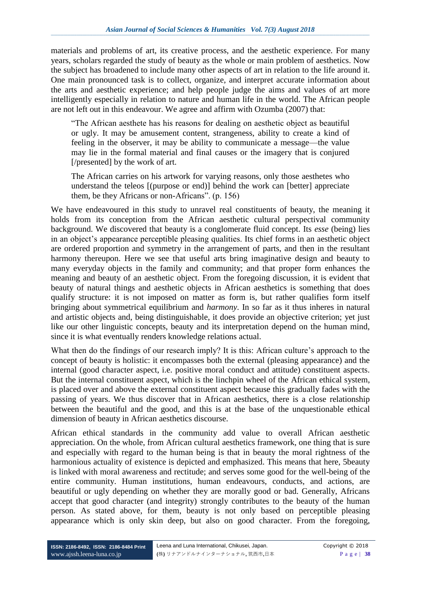materials and problems of art, its creative process, and the aesthetic experience. For many years, scholars regarded the study of beauty as the whole or main problem of aesthetics. Now the subject has broadened to include many other aspects of art in relation to the life around it. One main pronounced task is to collect, organize, and interpret accurate information about the arts and aesthetic experience; and help people judge the aims and values of art more intelligently especially in relation to nature and human life in the world. The African people are not left out in this endeavour. We agree and affirm with Ozumba (2007) that:

"The African aesthete has his reasons for dealing on aesthetic object as beautiful or ugly. It may be amusement content, strangeness, ability to create a kind of feeling in the observer, it may be ability to communicate a message—the value may lie in the formal material and final causes or the imagery that is conjured [/presented] by the work of art.

The African carries on his artwork for varying reasons, only those aesthetes who understand the teleos [(purpose or end)] behind the work can [better] appreciate them, be they Africans or non-Africans". (p. 156)

We have endeavoured in this study to unravel real constituents of beauty, the meaning it holds from its conception from the African aesthetic cultural perspectival community background. We discovered that beauty is a conglomerate fluid concept. Its *esse* (being) lies in an object's appearance perceptible pleasing qualities. Its chief forms in an aesthetic object are ordered proportion and symmetry in the arrangement of parts, and then in the resultant harmony thereupon. Here we see that useful arts bring imaginative design and beauty to many everyday objects in the family and community; and that proper form enhances the meaning and beauty of an aesthetic object. From the foregoing discussion, it is evident that beauty of natural things and aesthetic objects in African aesthetics is something that does qualify structure: it is not imposed on matter as form is, but rather qualifies form itself bringing about symmetrical equilibrium and *harmony*. In so far as it thus inheres in natural and artistic objects and, being distinguishable, it does provide an objective criterion; yet just like our other linguistic concepts, beauty and its interpretation depend on the human mind, since it is what eventually renders knowledge relations actual.

What then do the findings of our research imply? It is this: African culture's approach to the concept of beauty is holistic: it encompasses both the external (pleasing appearance) and the internal (good character aspect, i.e. positive moral conduct and attitude) constituent aspects. But the internal constituent aspect, which is the linchpin wheel of the African ethical system, is placed over and above the external constituent aspect because this gradually fades with the passing of years. We thus discover that in African aesthetics, there is a close relationship between the beautiful and the good, and this is at the base of the unquestionable ethical dimension of beauty in African aesthetics discourse.

African ethical standards in the community add value to overall African aesthetic appreciation. On the whole, from African cultural aesthetics framework, one thing that is sure and especially with regard to the human being is that in beauty the moral rightness of the harmonious actuality of existence is depicted and emphasized. This means that here, 5beauty is linked with moral awareness and rectitude; and serves some good for the well-being of the entire community. Human institutions, human endeavours, conducts, and actions, are beautiful or ugly depending on whether they are morally good or bad. Generally, Africans accept that good character (and integrity) strongly contributes to the beauty of the human person. As stated above, for them, beauty is not only based on perceptible pleasing appearance which is only skin deep, but also on good character. From the foregoing,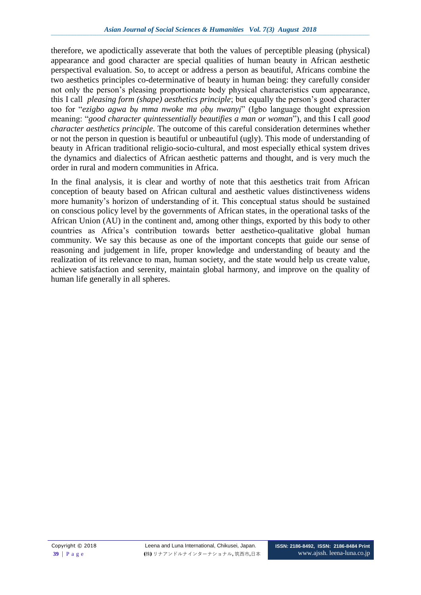therefore, we apodictically asseverate that both the values of perceptible pleasing (physical) appearance and good character are special qualities of human beauty in African aesthetic perspectival evaluation. So, to accept or address a person as beautiful, Africans combine the two aesthetics principles co-determinative of beauty in human being: they carefully consider not only the person's pleasing proportionate body physical characteristics cum appearance, this I call *pleasing form (shape) aesthetics principle*; but equally the person's good character too for "*ezigbo agwa bụ mma nwoke ma ọbụ nwanyị*" (Igbo language thought expression meaning: "*good character quintessentially beautifies a man or woman*"), and this I call *good character aesthetics principle*. The outcome of this careful consideration determines whether or not the person in question is beautiful or unbeautiful (ugly). This mode of understanding of beauty in African traditional religio-socio-cultural, and most especially ethical system drives the dynamics and dialectics of African aesthetic patterns and thought, and is very much the order in rural and modern communities in Africa.

In the final analysis, it is clear and worthy of note that this aesthetics trait from African conception of beauty based on African cultural and aesthetic values distinctiveness widens more humanity's horizon of understanding of it. This conceptual status should be sustained on conscious policy level by the governments of African states, in the operational tasks of the African Union (AU) in the continent and, among other things, exported by this body to other countries as Africa's contribution towards better aesthetico-qualitative global human community. We say this because as one of the important concepts that guide our sense of reasoning and judgement in life, proper knowledge and understanding of beauty and the realization of its relevance to man, human society, and the state would help us create value, achieve satisfaction and serenity, maintain global harmony, and improve on the quality of human life generally in all spheres.